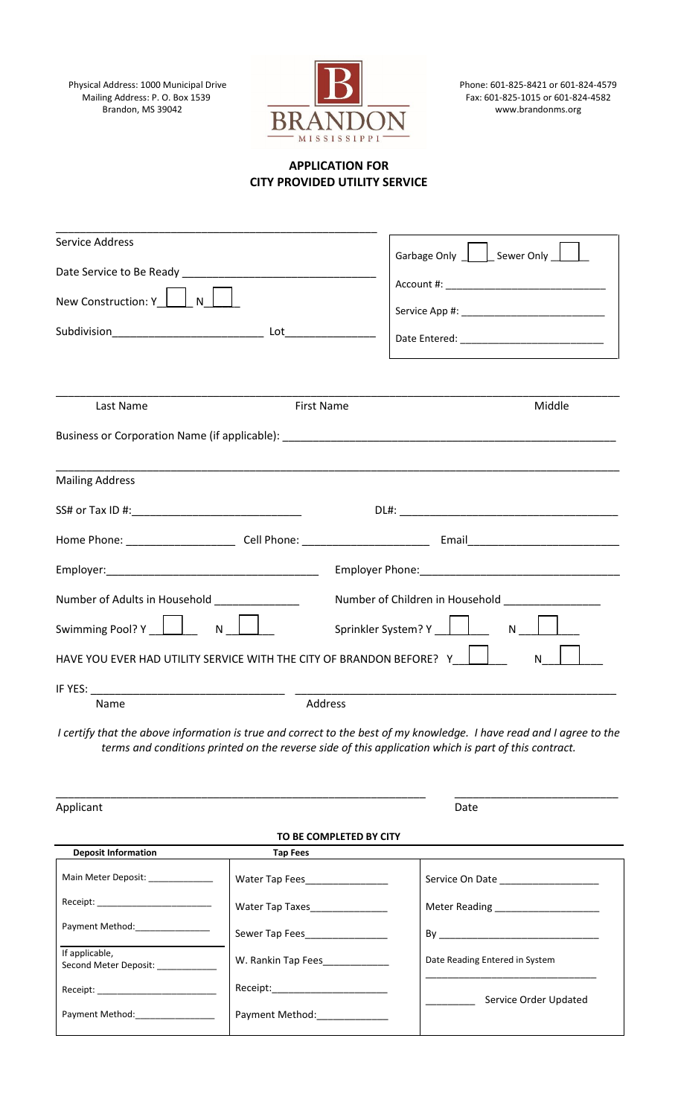Physical Address: 1000 Municipal Drive<br>Mailing Address: P. O. Box 1539<br>Brandon, MS 39042

\_\_\_\_\_\_\_\_\_\_\_\_\_\_\_\_\_\_\_\_\_\_\_\_\_\_\_\_\_\_\_\_\_\_\_\_\_\_\_\_\_\_\_\_\_\_\_\_\_\_\_\_\_



Phone: 601-825-8421 or 601-824-4579<br>Fax: 601-825-1015 or 601-824-4582

## **APPLICATION FOR CITY PROVIDED UTILITY SERVICE**

| <b>Service Address</b>                                                                                                                                                                                                       |                                  | Garbage Only   Sewer Only              |
|------------------------------------------------------------------------------------------------------------------------------------------------------------------------------------------------------------------------------|----------------------------------|----------------------------------------|
| Date Service to Be Ready Management and the Case of the Case of the Case of the Case of the Case of the Case o                                                                                                               |                                  |                                        |
| New Construction: Y     N                                                                                                                                                                                                    |                                  |                                        |
|                                                                                                                                                                                                                              |                                  |                                        |
|                                                                                                                                                                                                                              |                                  |                                        |
|                                                                                                                                                                                                                              |                                  |                                        |
|                                                                                                                                                                                                                              |                                  |                                        |
| Last Name                                                                                                                                                                                                                    | <b>First Name</b>                | Middle                                 |
|                                                                                                                                                                                                                              |                                  |                                        |
| <b>Mailing Address</b>                                                                                                                                                                                                       |                                  |                                        |
|                                                                                                                                                                                                                              |                                  |                                        |
|                                                                                                                                                                                                                              |                                  | $DL#$ :                                |
|                                                                                                                                                                                                                              |                                  |                                        |
|                                                                                                                                                                                                                              |                                  |                                        |
| Number of Adults in Household [1986]<br>Number of Children in Household _______________                                                                                                                                      |                                  |                                        |
| Swimming Pool? Y   N N<br>$N \mid \cdot$                                                                                                                                                                                     |                                  |                                        |
| $\mathsf{L} \mathsf{L}$<br>HAVE YOU EVER HAD UTILITY SERVICE WITH THE CITY OF BRANDON BEFORE? Y<br>N                                                                                                                         |                                  |                                        |
|                                                                                                                                                                                                                              |                                  |                                        |
| Name                                                                                                                                                                                                                         | Address                          |                                        |
| I certify that the above information is true and correct to the best of my knowledge. I have read and I agree to the<br>terms and conditions printed on the reverse side of this application which is part of this contract. |                                  |                                        |
| Applicant                                                                                                                                                                                                                    |                                  | Date                                   |
|                                                                                                                                                                                                                              | TO BE COMPLETED BY CITY          |                                        |
| <b>Deposit Information</b>                                                                                                                                                                                                   | <b>Tap Fees</b>                  |                                        |
| Main Meter Deposit: ____________                                                                                                                                                                                             | Water Tap Fees                   | Service On Date ______________________ |
|                                                                                                                                                                                                                              | Water Tap Taxes_______________   | Meter Reading _______________________  |
| Payment Method: _______________                                                                                                                                                                                              | Sewer Tap Fees                   |                                        |
| If applicable,<br>Second Meter Deposit: ____________                                                                                                                                                                         | W. Rankin Tap Fees_____________  | Date Reading Entered in System         |
|                                                                                                                                                                                                                              | Receipt:________________________ |                                        |
| Payment Method: Payment Method:                                                                                                                                                                                              | Payment Method: _______________  | Service Order Updated                  |